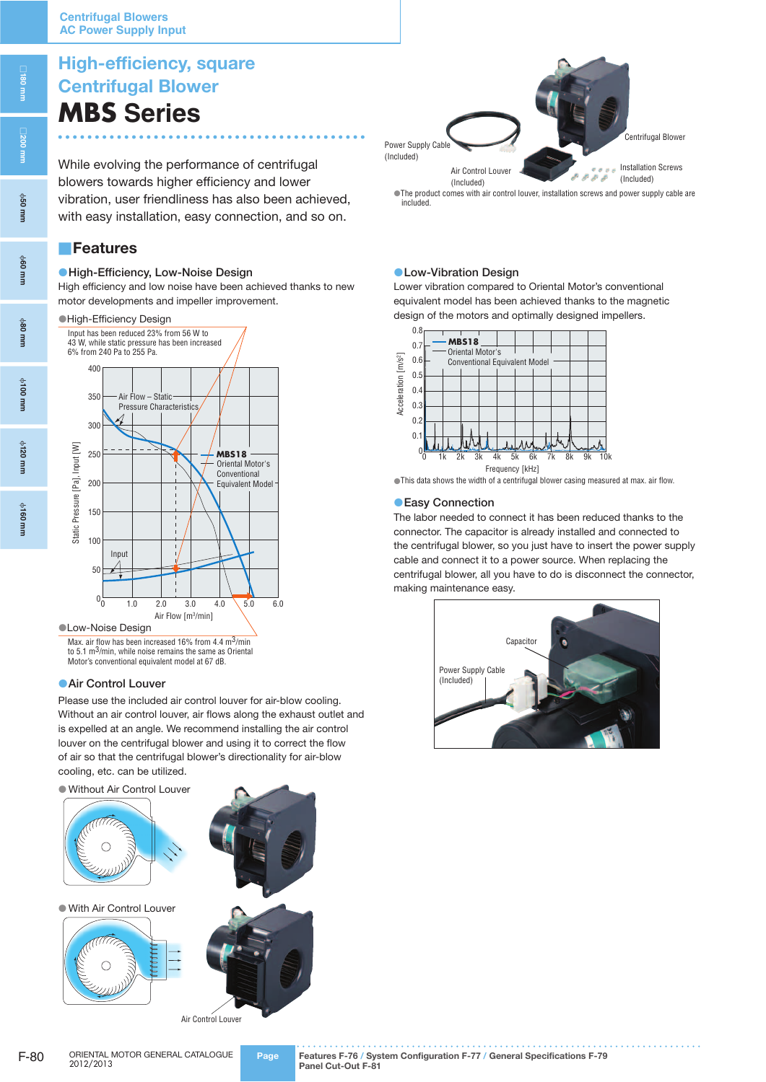# **High-efficiency, square Centrifugal Blower MBS Series**

While evolving the performance of centrifugal blowers towards higher efficiency and lower vibration, user friendliness has also been achieved, with easy installation, easy connection, and so on.

## ■**Features**

#### ●**High-Efficiency, Low-Noise Design**

High efficiency and low noise have been achieved thanks to new motor developments and impeller improvement.

●High-Efficiency Design

Input has been reduced 23% from 56 W to 43 W, while static pressure has been increased



#### ●Low-Noise Design

Max. air flow has been increased 16% from 4.4 m<sup>3</sup>/min to 5.1 m3/min, while noise remains the same as Oriental Motor's conventional equivalent model at 67 dB.

#### **• Air Control Louver**

Please use the included air control louver for air-blow cooling. Without an air control louver, air flows along the exhaust outlet and is expelled at an angle. We recommend installing the air control louver on the centrifugal blower and using it to correct the flow of air so that the centrifugal blower's directionality for air-blow cooling, etc. can be utilized.

● Without Air Control Louver



●The product comes with air control louver, installation screws and power supply cable are Power Supply Cable (Included) Air Control Louver (Included) Installation Screws (Included) Centrifugal Blower

included.

#### ●**Low-Vibration Design**

Lower vibration compared to Oriental Motor's conventional equivalent model has been achieved thanks to the magnetic design of the motors and optimally designed impellers.



<sup>●</sup>This data shows the width of a centrifugal blower casing measured at max. air flow.

#### ●**Easy Connection**

The labor needed to connect it has been reduced thanks to the connector. The capacitor is already installed and connected to the centrifugal blower, so you just have to insert the power supply cable and connect it to a power source. When replacing the centrifugal blower, all you have to do is disconnect the connector, making maintenance easy.



ϕ**160 mm**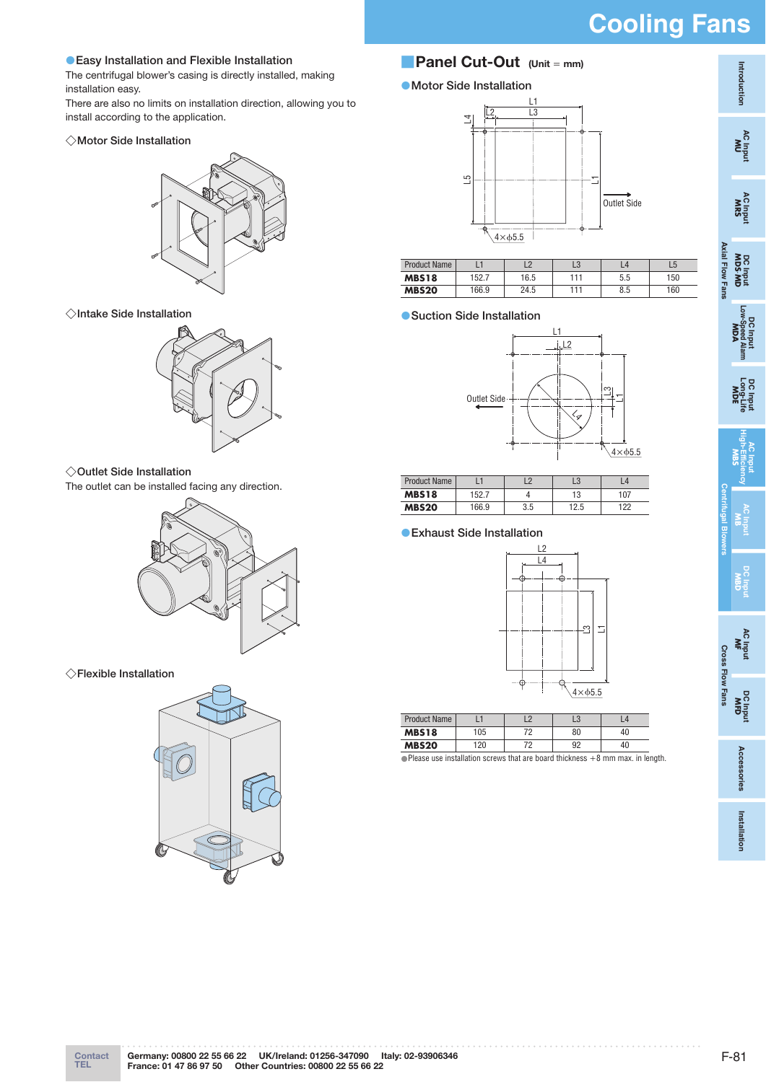# **Cooling Fans**

### ●**Easy Installation and Flexible Installation**

The centrifugal blower's casing is directly installed, making installation easy.

There are also no limits on installation direction, allowing you to install according to the application.

#### ◇**Motor Side Installation**



◇**Intake Side Installation**



#### ◇**Outlet Side Installation**

The outlet can be installed facing any direction.



◇**Flexible Installation**



## ■**Panel Cut-Out (Unit** <sup>=</sup> **mm)**

### ●**Motor Side Installation**



| Product Name |       |      | LU  | $\overline{\mathcal{L}}$ |     |
|--------------|-------|------|-----|--------------------------|-----|
| <b>MBS18</b> | 152.7 | 16.5 | 111 | 5.5                      | 150 |
| <b>MBS20</b> | 166.9 | 24.5 | 111 | 8.5                      | 160 |

#### ●**Suction Side Installation**



| <b>Product Name</b> |       |     | LU   | $\overline{A}$ |
|---------------------|-------|-----|------|----------------|
| <b>MBS18</b>        | 152.7 |     | 13   | 107            |
| <b>MBS20</b>        | 166.9 | 3.5 | 12.5 | 122            |

#### ●**Exhaust Side Installation**



| <b>Product Name</b> |     |    | Lu |    |
|---------------------|-----|----|----|----|
| <b>MBS18</b>        | 105 | 70 | 80 | 40 |
| <b>MBS20</b>        | 120 | 70 | 92 | 40 |

 $\bullet$  Please use installation screws that are board thickness  $+8$  mm max. in length.

**Installation Installation**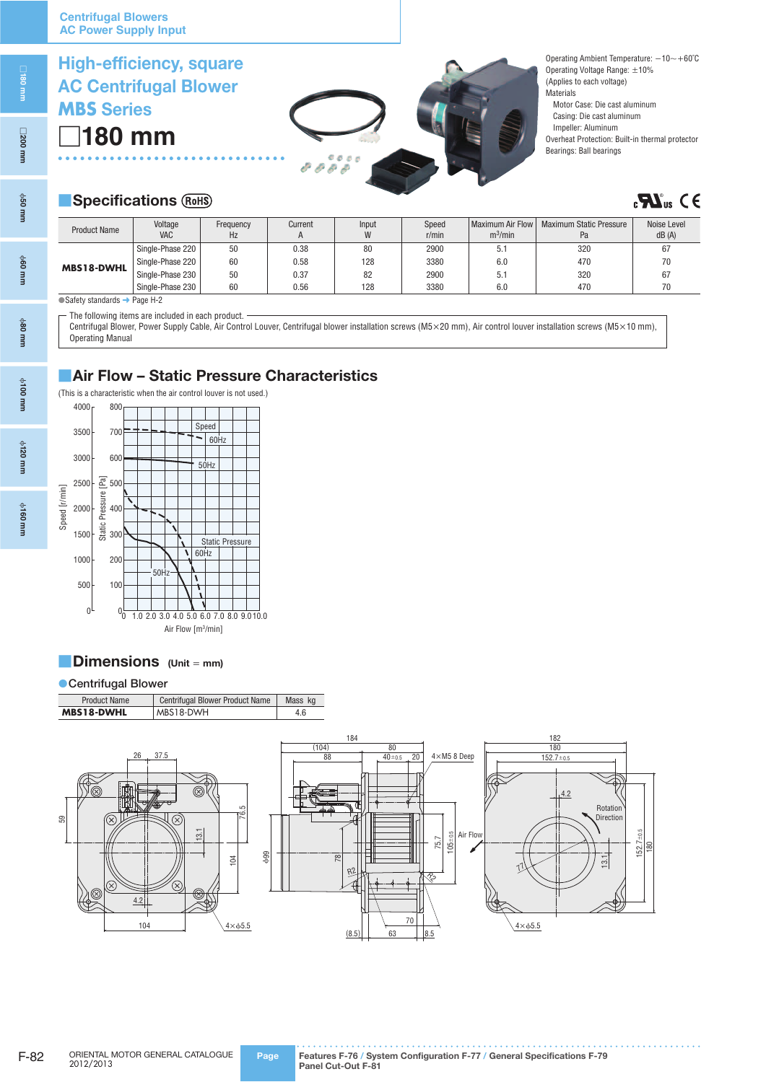□**180 mm** 

**MBS Series**

**High-efficiency, square AC Centrifugal Blower**

ϕ**50 mm**

ϕ**60 mm**

ϕ**80 mm**

ϕ**100 mm**

ϕ**120 mm**

ϕ**160 mm**

| 8888 |  |
|------|--|

Operating Ambient Temperature: −10∼+60˚C Operating Voltage Range: ±10% (Applies to each voltage) **Materials** Motor Case: Die cast aluminum Casing: Die cast aluminum Impeller: Aluminum Overheat Protection: Built-in thermal protector Bearings: Ball bearings

## **B** Specifications (ROHS)

# $\mathbf{R}$   $\mathbf{M}_{\text{us}}$  C E

| <b>Product Name</b> | Voltage<br><b>VAC</b> | Frequency<br>Hz | Current<br>H | Input<br>W | Speed<br>r/min | Maximum Air Flow<br>$m^3/m$ in | <b>Maximum Static Pressure</b><br>Pa | Noise Level<br>dB(A) |
|---------------------|-----------------------|-----------------|--------------|------------|----------------|--------------------------------|--------------------------------------|----------------------|
|                     | Single-Phase 220      | 50              | 0.38         | 80         | 2900           | 5.1                            | 320                                  | 67                   |
|                     | Single-Phase 220      | 60              | 0.58         | 128        | 3380           | 6.0                            | 470                                  | 70                   |
| <b>MBS18-DWHL</b>   | Single-Phase 230      | 50              | 0.37         | 82         | 2900           | 5.1                            | 320                                  | 67                   |
|                     | Single-Phase 230      | 60              | 0.56         | 128        | 3380           | 6.0                            | 470                                  | 70                   |

● Safety standards → Page H-2

The following items are included in each product.

Centrifugal Blower, Power Supply Cable, Air Control Louver, Centrifugal blower installation screws (M5×20 mm), Air control louver installation screws (M5×10 mm), Operating Manual

## ■**Air Flow – Static Pressure Characteristics**



## ■**Dimensions (Unit** <sup>=</sup> **mm)**

## ●**Centrifugal Blower**

| <b>Product Name</b> | <b>Centrifugal Blower Product Name</b> | Mass kg |
|---------------------|----------------------------------------|---------|
| <b>MBS18-DWHL</b>   | MBS18-DWH                              | 4.6     |

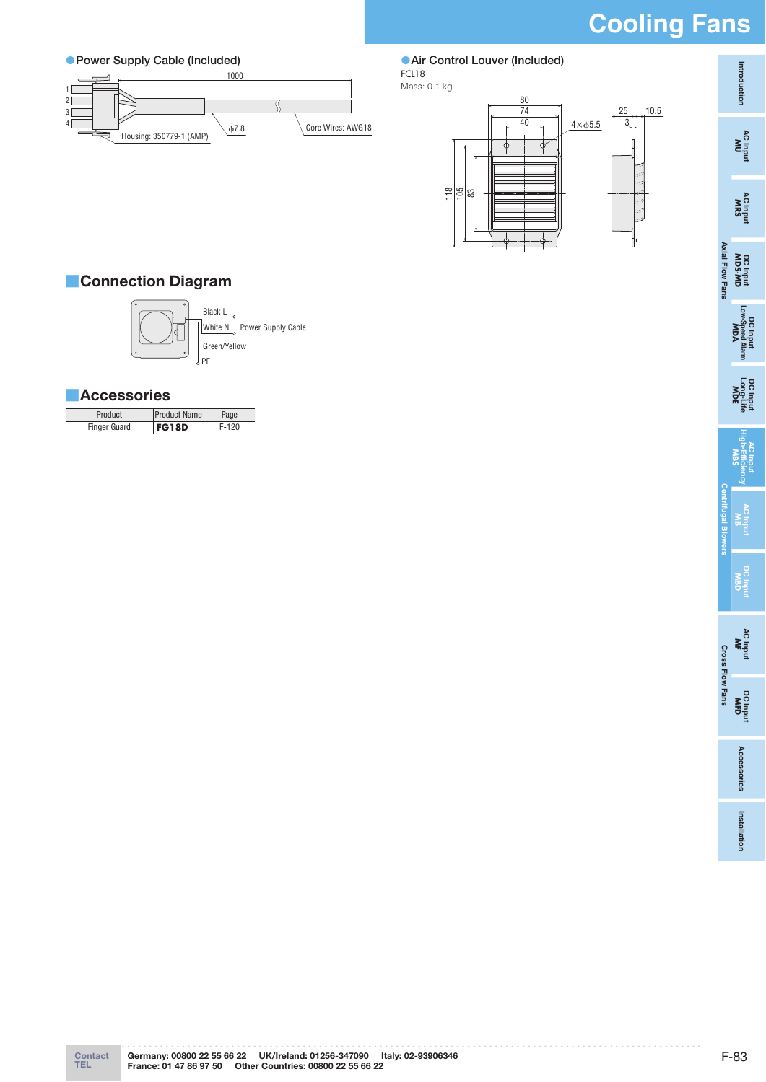# **Cooling Fans**



 ●**Air Control Louver (Included)** FCL18



## ■**Connection Diagram**



White N Power Supply Cable Green/Yellow Black L

PE

## ■**Accessories**

| Product             | <b>Product Name</b> | Page  |
|---------------------|---------------------|-------|
| <b>Finger Guard</b> | <b>FG18D</b>        | F-120 |

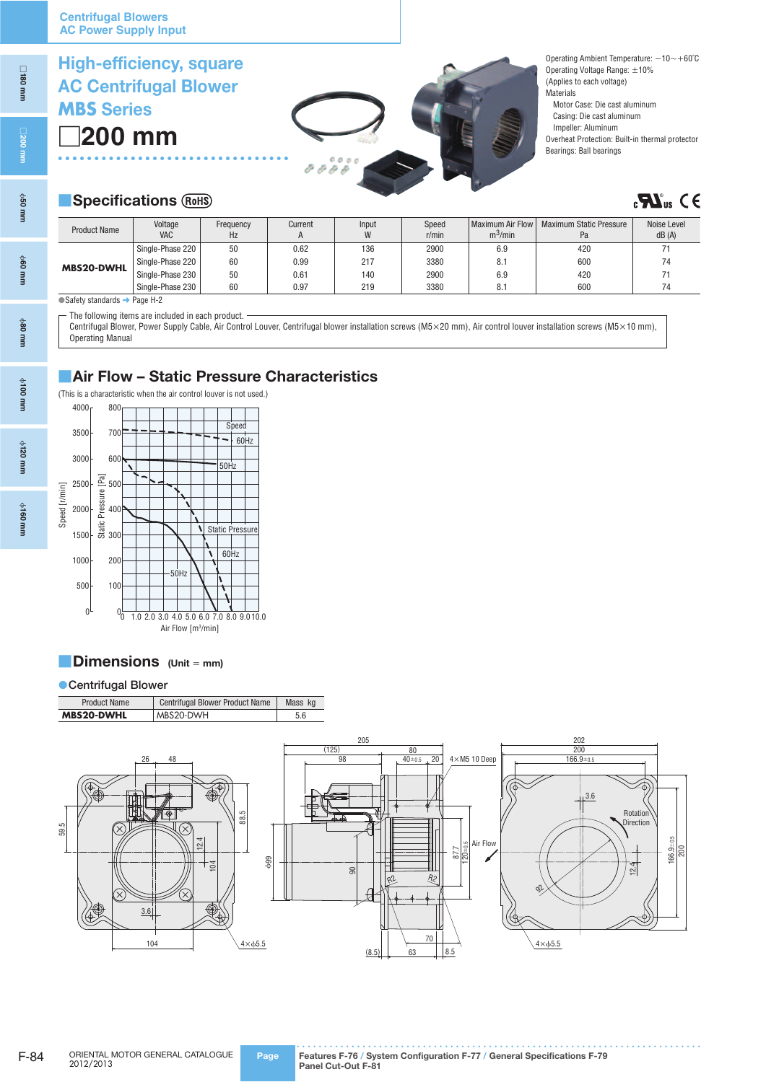**High-efficiency, square**

ϕ**80 mm**

ϕ**100 mm**

ϕ**120 mm**

ϕ**160 mm**

## **AC Centrifugal Blower MBS Series**

□**200 mm** 



Operating Ambient Temperature: −10∼+60˚C Operating Voltage Range: ±10% (Applies to each voltage) **Materials** Motor Case: Die cast aluminum Casing: Die cast aluminum Impeller: Aluminum Overheat Protection: Built-in thermal protector Bearings: Ball bearings

## **B** Specifications (ROHS)

## $\mathbf{C}$ **C**<sub>us</sub>  $\mathbf{C} \in$

| <b>Product Name</b> | Voltage<br><b>VAC</b> | Frequency<br>Hz | Current | Input<br>W | Speed<br>$r/m$ in | Maximum Air Flow<br>m <sup>3</sup> /min | <b>Maximum Static Pressure</b><br>Pa | Noise Level<br>dB(A) |
|---------------------|-----------------------|-----------------|---------|------------|-------------------|-----------------------------------------|--------------------------------------|----------------------|
|                     | Single-Phase 220      | 50              | 0.62    | 136        | 2900              | 6.9                                     | 420                                  |                      |
| <b>MBS20-DWHL</b>   | Single-Phase 220      | 60              | 0.99    | 217        | 3380              | 8.1                                     | 600                                  | 74                   |
|                     | Single-Phase 230      | 50              | 0.61    | 140        | 2900              | 6.9                                     | 420                                  |                      |
|                     | Single-Phase 230      | 60              | 0.97    | 219        | 3380              | 8.1                                     | 600                                  | 74                   |

● Safety standards → Page H-2

The following items are included in each product. -

Centrifugal Blower, Power Supply Cable, Air Control Louver, Centrifugal blower installation screws (M5×20 mm), Air control louver installation screws (M5×10 mm), Operating Manual

## ■**Air Flow – Static Pressure Characteristics**



## ■**Dimensions (Unit** <sup>=</sup> **mm)**

#### ●**Centrifugal Blower**

| <b>Product Name</b> | Centrifugal Blower Product Name | Mass kg |
|---------------------|---------------------------------|---------|
| <b>MBS20-DWHL</b>   | MBS20-DWH                       | 5.6     |